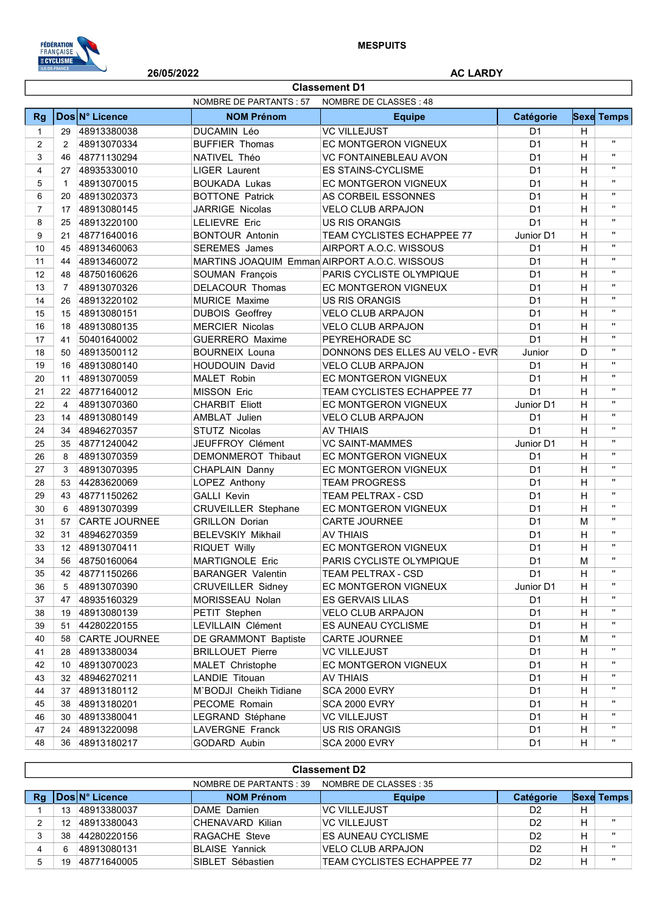

I

26/05/2022 AC LARDY

|                | <b>Classement D1</b> |                      |                            |                                              |                |   |                   |  |  |
|----------------|----------------------|----------------------|----------------------------|----------------------------------------------|----------------|---|-------------------|--|--|
|                |                      |                      | NOMBRE DE PARTANTS : 57    | NOMBRE DE CLASSES: 48                        |                |   |                   |  |  |
| <b>Rg</b>      |                      | Dos N° Licence       | <b>NOM Prénom</b>          | <b>Equipe</b>                                | Catégorie      |   | <b>Sexe Temps</b> |  |  |
| $\mathbf{1}$   | 29                   | 48913380038          | <b>DUCAMIN Léo</b>         | <b>VC VILLEJUST</b>                          | D <sub>1</sub> | H |                   |  |  |
| 2              | $\overline{2}$       | 48913070334          | <b>BUFFIER Thomas</b>      | <b>EC MONTGERON VIGNEUX</b>                  | D <sub>1</sub> | H | $\mathbf{H}$      |  |  |
| 3              | 46                   | 48771130294          | NATIVEL Théo               | <b>VC FONTAINEBLEAU AVON</b>                 | D <sub>1</sub> | H | $\mathbf{u}$      |  |  |
| 4              | 27                   | 48935330010          | <b>LIGER Laurent</b>       | <b>ES STAINS-CYCLISME</b>                    | D <sub>1</sub> | H | $\mathbf{H}$      |  |  |
| 5              | $\mathbf{1}$         | 48913070015          | <b>BOUKADA Lukas</b>       | EC MONTGERON VIGNEUX                         | D <sub>1</sub> | H | $\mathbf{H}$      |  |  |
| 6              | 20                   | 48913020373          | <b>BOTTONE Patrick</b>     | AS CORBEIL ESSONNES                          | D <sub>1</sub> | H | $\mathbf{H}$      |  |  |
| $\overline{7}$ | 17                   | 48913080145          | JARRIGE Nicolas            | <b>VELO CLUB ARPAJON</b>                     | D <sub>1</sub> | H | $\mathbf{H}$      |  |  |
| 8              | 25                   | 48913220100          | <b>LELIEVRE Eric</b>       | <b>US RIS ORANGIS</b>                        | D <sub>1</sub> | H | $\mathbf{H}$      |  |  |
| 9              | 21                   | 48771640016          | <b>BONTOUR Antonin</b>     | TEAM CYCLISTES ECHAPPEE 77                   | Junior D1      | H | $\mathbf{H}$      |  |  |
| 10             | 45                   | 48913460063          | <b>SEREMES</b> James       | AIRPORT A.O.C. WISSOUS                       | D <sub>1</sub> | H | $\mathbf{H}$      |  |  |
| 11             | 44                   | 48913460072          |                            | MARTINS JOAQUIM Emman AIRPORT A.O.C. WISSOUS | D <sub>1</sub> | H | $\mathbf{H}$      |  |  |
| 12             | 48                   | 48750160626          | SOUMAN François            | PARIS CYCLISTE OLYMPIQUE                     | D <sub>1</sub> | H | $\mathbf{H}$      |  |  |
| 13             | $\overline{7}$       | 48913070326          | <b>DELACOUR Thomas</b>     | EC MONTGERON VIGNEUX                         | D <sub>1</sub> | H | $\mathbf{H}$      |  |  |
| 14             | 26                   | 48913220102          | <b>MURICE Maxime</b>       | <b>US RIS ORANGIS</b>                        | D <sub>1</sub> | H | $\mathbf{H}$      |  |  |
| 15             | 15                   | 48913080151          | <b>DUBOIS Geoffrey</b>     | <b>VELO CLUB ARPAJON</b>                     | D <sub>1</sub> | H | $\mathbf{H}$      |  |  |
| 16             | 18                   | 48913080135          | <b>MERCIER Nicolas</b>     | <b>VELO CLUB ARPAJON</b>                     | D <sub>1</sub> | H | $\mathbf{H}$      |  |  |
| 17             | 41                   | 50401640002          | <b>GUERRERO Maxime</b>     | PEYREHORADE SC                               | D <sub>1</sub> | H | $\mathbf{H}$      |  |  |
| 18             | 50                   | 48913500112          | <b>BOURNEIX Louna</b>      | DONNONS DES ELLES AU VELO - EVR              | Junior         | D | $\mathbf{H}$      |  |  |
| 19             | 16                   | 48913080140          | <b>HOUDOUIN David</b>      | <b>VELO CLUB ARPAJON</b>                     | D <sub>1</sub> | H | $\mathbf{H}$      |  |  |
| 20             | 11                   | 48913070059          | <b>MALET Robin</b>         | EC MONTGERON VIGNEUX                         | D <sub>1</sub> | H | $\mathbf{H}$      |  |  |
| 21             | 22                   | 48771640012          | <b>MISSON Eric</b>         | TEAM CYCLISTES ECHAPPEE 77                   | D <sub>1</sub> | H | $\mathbf{H}$      |  |  |
| 22             | $\overline{4}$       | 48913070360          | <b>CHARBIT Eliott</b>      | EC MONTGERON VIGNEUX                         | Junior D1      | H | $\mathbf{H}$      |  |  |
| 23             | 14                   | 48913080149          | AMBLAT Julien              | <b>VELO CLUB ARPAJON</b>                     | D <sub>1</sub> | H | $\mathbf{H}$      |  |  |
| 24             | 34                   | 48946270357          | <b>STUTZ Nicolas</b>       | <b>AV THIAIS</b>                             | D <sub>1</sub> | H | $\mathbf{H}$      |  |  |
| 25             | 35                   | 48771240042          | JEUFFROY Clément           | <b>VC SAINT-MAMMES</b>                       | Junior D1      | H | $\mathbf{H}$      |  |  |
| 26             | 8                    | 48913070359          | DEMONMEROT Thibaut         | EC MONTGERON VIGNEUX                         | D <sub>1</sub> | H | $\mathbf{H}$      |  |  |
| 27             | 3                    | 48913070395          | CHAPLAIN Danny             | EC MONTGERON VIGNEUX                         | D <sub>1</sub> | Н | $\mathbf{H}$      |  |  |
| 28             | 53                   | 44283620069          | LOPEZ Anthony              | <b>TEAM PROGRESS</b>                         | D <sub>1</sub> | H | $\mathbf{H}$      |  |  |
| 29             | 43                   | 48771150262          | <b>GALLI Kevin</b>         | <b>TEAM PELTRAX - CSD</b>                    | D <sub>1</sub> | H | $\mathbf{H}$      |  |  |
| 30             | 6                    | 48913070399          | <b>CRUVEILLER Stephane</b> | EC MONTGERON VIGNEUX                         | D <sub>1</sub> | Н | $\mathbf{H}$      |  |  |
| 31             | 57                   | <b>CARTE JOURNEE</b> | <b>GRILLON Dorian</b>      | <b>CARTE JOURNEE</b>                         | D <sub>1</sub> | M | $\mathbf{H}$      |  |  |
| 32             | 31                   | 48946270359          | <b>BELEVSKIY Mikhail</b>   | <b>AV THIAIS</b>                             | D <sub>1</sub> | н | $\mathbf{H}$      |  |  |
| 33             |                      | 12 48913070411       | RIQUET Willy               | EC MONTGERON VIGNEUX                         | D <sub>1</sub> | H | $\mathbf{H}$      |  |  |
| 34             | 56                   | 48750160064          | <b>MARTIGNOLE Eric</b>     | PARIS CYCLISTE OLYMPIQUE                     | D <sub>1</sub> | M | H.                |  |  |
| 35             | 42                   | 48771150266          | <b>BARANGER Valentin</b>   | TEAM PELTRAX - CSD                           | D <sub>1</sub> | н | $\mathbf{u}$      |  |  |
| 36             | 5                    | 48913070390          | <b>CRUVEILLER Sidney</b>   | EC MONTGERON VIGNEUX                         | Junior D1      | н | H.                |  |  |
| 37             | 47                   | 48935160329          | MORISSEAU Nolan            | <b>ES GERVAIS LILAS</b>                      | D <sub>1</sub> | н |                   |  |  |
| 38             | 19                   | 48913080139          | PETIT Stephen              | <b>VELO CLUB ARPAJON</b>                     | D <sub>1</sub> | н |                   |  |  |
| 39             | 51                   | 44280220155          | LEVILLAIN Clément          | ES AUNEAU CYCLISME                           | D <sub>1</sub> | н | $\mathbf{H}$      |  |  |
| 40             |                      | 58 CARTE JOURNEE     | DE GRAMMONT Baptiste       | CARTE JOURNEE                                | D <sub>1</sub> | М | $\mathbf{H}$      |  |  |
| 41             | 28                   | 48913380034          | <b>BRILLOUET Pierre</b>    | <b>VC VILLEJUST</b>                          | D <sub>1</sub> | н |                   |  |  |
| 42             |                      | 10 48913070023       | MALET Christophe           | EC MONTGERON VIGNEUX                         | D <sub>1</sub> | н |                   |  |  |
| 43             |                      | 32 48946270211       | LANDIE Titouan             | <b>AV THIAIS</b>                             | D <sub>1</sub> | н | $\mathbf{H}$      |  |  |
| 44             |                      | 37 48913180112       | M'BODJI Cheikh Tidiane     | SCA 2000 EVRY                                | D <sub>1</sub> | н |                   |  |  |
| 45             | 38                   | 48913180201          | PECOME Romain              | SCA 2000 EVRY                                | D <sub>1</sub> | н | $\mathbf{H}$      |  |  |
| 46             | 30                   | 48913380041          | LEGRAND Stéphane           | <b>VC VILLEJUST</b>                          | D <sub>1</sub> | н |                   |  |  |
| 47             |                      | 24 48913220098       | LAVERGNE Franck            | US RIS ORANGIS                               | D <sub>1</sub> | н | $\mathbf{H}$      |  |  |
| 48             |                      | 36 48913180217       | GODARD Aubin               | SCA 2000 EVRY                                | D <sub>1</sub> | H | п.                |  |  |

|    | <b>Classement D2</b>                              |                        |                       |                                   |                |   |                   |  |  |
|----|---------------------------------------------------|------------------------|-----------------------|-----------------------------------|----------------|---|-------------------|--|--|
|    | NOMBRE DE CLASSES : 35<br>NOMBRE DE PARTANTS : 39 |                        |                       |                                   |                |   |                   |  |  |
| Rg |                                                   | <b>IDosIN° Licence</b> | <b>NOM Prénom</b>     | <b>Equipe</b>                     | Catégorie      |   | <b>Sexe Temps</b> |  |  |
|    |                                                   | 48913380037            | DAME Damien           | <b>VC VILLEJUST</b>               | D <sub>2</sub> | н |                   |  |  |
|    |                                                   | 48913380043            | CHENAVARD Kilian      | <b>VC VILLEJUST</b>               | D <sub>2</sub> | н | $\mathbf{u}$      |  |  |
|    | 38                                                | 44280220156            | RAGACHE Steve         | <b>ES AUNEAU CYCLISME</b>         | D <sub>2</sub> | н | $\mathbf{u}$      |  |  |
| 4  | 6                                                 | 48913080131            | <b>BLAISE Yannick</b> | <b>VELO CLUB ARPAJON</b>          | D <sub>2</sub> | Н | $\mathbf{u}$      |  |  |
| 5  | 19                                                | 48771640005            | SIBLET Sébastien      | <b>TEAM CYCLISTES ECHAPPEE 77</b> | D <sub>2</sub> | н | $\mathbf{u}$      |  |  |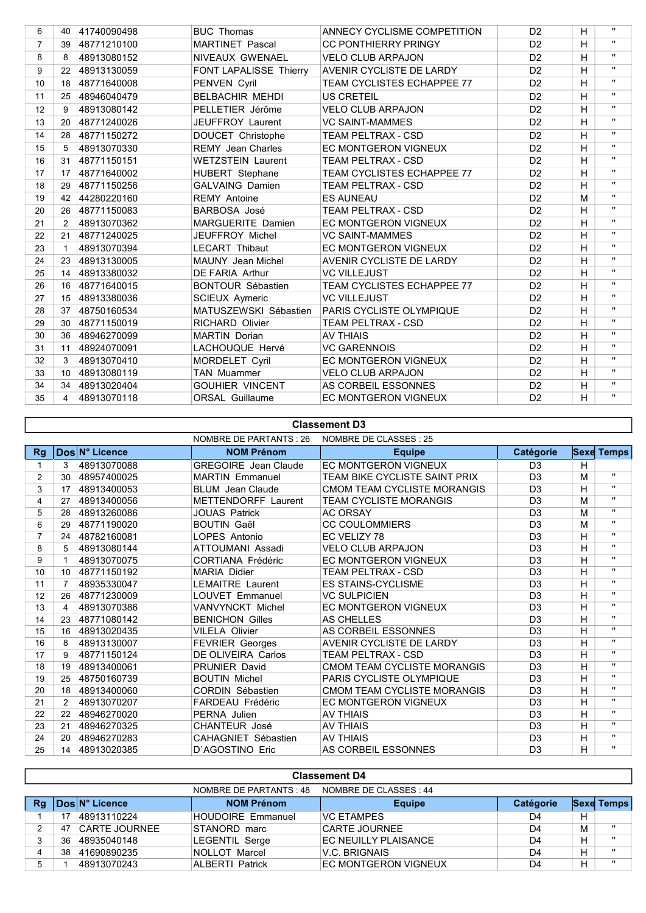| 6                | 40              | 41740090498 | <b>BUC Thomas</b>             | <b>ANNECY CYCLISME COMPETITION</b> | D <sub>2</sub> | H | $\mathbf{u}$ |
|------------------|-----------------|-------------|-------------------------------|------------------------------------|----------------|---|--------------|
| $\overline{7}$   | 39              | 48771210100 | <b>MARTINET Pascal</b>        | <b>CC PONTHIERRY PRINGY</b>        | D <sub>2</sub> | H | $\mathbf{H}$ |
| 8                | 8               | 48913080152 | NIVEAUX GWENAEL               | <b>VELO CLUB ARPAJON</b>           | D <sub>2</sub> | H | $\mathbf{u}$ |
| 9                | 22              | 48913130059 | <b>FONT LAPALISSE Thierry</b> | <b>AVENIR CYCLISTE DE LARDY</b>    | D <sub>2</sub> | H | $\mathbf{H}$ |
| 10 <sup>10</sup> | 18              | 48771640008 | PENVEN Cyril                  | <b>TEAM CYCLISTES ECHAPPEE 77</b>  | D <sub>2</sub> | H | $\mathbf{H}$ |
| 11               | 25              | 48946040479 | <b>BELBACHIR MEHDI</b>        | US CRETEIL                         | D <sub>2</sub> | H | $\mathbf{H}$ |
| 12               | 9               | 48913080142 | PELLETIER Jérôme              | <b>VELO CLUB ARPAJON</b>           | D <sub>2</sub> | H | $\mathbf{H}$ |
| 13               | 20              | 48771240026 | <b>JEUFFROY Laurent</b>       | <b>VC SAINT-MAMMES</b>             | D <sub>2</sub> | H | $\mathbf{H}$ |
| 14               | 28              | 48771150272 | DOUCET Christophe             | <b>TEAM PELTRAX - CSD</b>          | D <sub>2</sub> | H | $\mathbf{u}$ |
| 15               | $5^{\circ}$     | 48913070330 | <b>REMY</b> Jean Charles      | <b>EC MONTGERON VIGNEUX</b>        | D <sub>2</sub> | H | $\mathbf{H}$ |
| 16               | 31              | 48771150151 | <b>WETZSTEIN Laurent</b>      | <b>TEAM PELTRAX - CSD</b>          | D <sub>2</sub> | H | $\mathbf{H}$ |
| 17               | 17              | 48771640002 | <b>HUBERT</b> Stephane        | <b>TEAM CYCLISTES ECHAPPEE 77</b>  | D <sub>2</sub> | H | $\mathbf{H}$ |
| 18               | 29              | 48771150256 | <b>GALVAING Damien</b>        | <b>TEAM PELTRAX - CSD</b>          | D <sub>2</sub> | H | $\mathbf{H}$ |
| 19               | 42              | 44280220160 | <b>REMY Antoine</b>           | <b>ES AUNEAU</b>                   | D <sub>2</sub> | M | $\mathbf{H}$ |
| 20               | 26              | 48771150083 | BARBOSA José                  | <b>TEAM PELTRAX - CSD</b>          | D <sub>2</sub> | H | $\mathbf{H}$ |
| 21               | 2               | 48913070362 | <b>MARGUERITE Damien</b>      | <b>EC MONTGERON VIGNEUX</b>        | D <sub>2</sub> | H | $\mathbf{H}$ |
| 22               | 21              | 48771240025 | JEUFFROY Michel               | <b>VC SAINT-MAMMES</b>             | D <sub>2</sub> | H | $\mathbf{H}$ |
| 23               |                 | 48913070394 | <b>LECART Thibaut</b>         | <b>EC MONTGERON VIGNEUX</b>        | D <sub>2</sub> | H | $\mathbf{H}$ |
| 24               | 23              | 48913130005 | <b>MAUNY</b> Jean Michel      | <b>AVENIR CYCLISTE DE LARDY</b>    | D <sub>2</sub> | н | $\mathbf{H}$ |
| 25               | 14              | 48913380032 | <b>DE FARIA Arthur</b>        | <b>VC VILLEJUST</b>                | D <sub>2</sub> | H | $\mathbf{H}$ |
| 26               | 16              | 48771640015 | <b>BONTOUR Sébastien</b>      | <b>TEAM CYCLISTES ECHAPPEE 77</b>  | D <sub>2</sub> | H | $\mathbf{H}$ |
| 27               | 15              | 48913380036 | <b>SCIEUX Aymeric</b>         | <b>VC VILLEJUST</b>                | D <sub>2</sub> | H | $\mathbf{H}$ |
| 28               | 37              | 48750160534 | MATUSZEWSKI Sébastien         | PARIS CYCLISTE OLYMPIQUE           | D <sub>2</sub> | H | $\mathbf{u}$ |
| 29               | 30              | 48771150019 | <b>RICHARD Olivier</b>        | <b>TEAM PELTRAX - CSD</b>          | D <sub>2</sub> | H | $\mathbf{H}$ |
| 30               | 36              | 48946270099 | <b>MARTIN Dorian</b>          | <b>AV THIAIS</b>                   | D <sub>2</sub> | H | $\mathbf{u}$ |
| 31               | 11              | 48924070091 | LACHOUQUE Hervé               | <b>VC GARENNOIS</b>                | D <sub>2</sub> | H | $\mathbf{H}$ |
| 32               | 3               | 48913070410 | MORDELET Cyril                | <b>EC MONTGERON VIGNEUX</b>        | D <sub>2</sub> | H | $\mathbf{H}$ |
| 33               | 10 <sup>1</sup> | 48913080119 | TAN Muammer                   | <b>VELO CLUB ARPAJON</b>           | D <sub>2</sub> | H | $\mathbf{u}$ |
| 34               | 34              | 48913020404 | <b>GOUHIER VINCENT</b>        | AS CORBEIL ESSONNES                | D <sub>2</sub> | H | $\mathbf{u}$ |
| 35               | 4               | 48913070118 | <b>ORSAL Guillaume</b>        | <b>EC MONTGERON VIGNEUX</b>        | D <sub>2</sub> | H | $\mathbf{u}$ |

## Classement D3

|           |                 |                | NOMBRE DE PARTANTS : 26     | NOMBRE DE CLASSES : 25        |                |   |                   |
|-----------|-----------------|----------------|-----------------------------|-------------------------------|----------------|---|-------------------|
| <b>Rg</b> |                 | Dos N° Licence | <b>NOM Prénom</b>           | <b>Equipe</b>                 | Catégorie      |   | <b>Sexe Temps</b> |
|           | 3               | 48913070088    | <b>GREGOIRE</b> Jean Claude | <b>EC MONTGERON VIGNEUX</b>   | D <sub>3</sub> | H |                   |
| 2         | 30              | 48957400025    | <b>MARTIN Emmanuel</b>      | TEAM BIKE CYCLISTE SAINT PRIX | D <sub>3</sub> | М |                   |
| 3         | 17              | 48913400053    | <b>BLUM</b> Jean Claude     | CMOM TEAM CYCLISTE MORANGIS   | D <sub>3</sub> | н | $\mathbf{H}$      |
| 4         | 27              | 48913400056    | <b>METTENDORFF Laurent</b>  | <b>TEAM CYCLISTE MORANGIS</b> | D <sub>3</sub> | M | $\mathbf{u}$      |
| 5         | 28              | 48913260086    | <b>JOUAS Patrick</b>        | <b>AC ORSAY</b>               | D <sub>3</sub> | м | $\mathbf{H}$      |
| 6         | 29              | 48771190020    | <b>BOUTIN Gaël</b>          | <b>CC COULOMMIERS</b>         | D <sub>3</sub> | M |                   |
|           | 24              | 48782160081    | LOPES Antonio               | EC VELIZY 78                  | D <sub>3</sub> | н | $\mathbf{H}$      |
| 8         | 5               | 48913080144    | ATTOUMANI Assadi            | <b>VELO CLUB ARPAJON</b>      | D <sub>3</sub> | H | $\mathbf{u}$      |
| 9         |                 | 48913070075    | CORTIANA Frédéric           | <b>EC MONTGERON VIGNEUX</b>   | D <sub>3</sub> | н | $\mathbf{H}$      |
| 10        | 10 <sup>°</sup> | 48771150192    | <b>MARIA Didier</b>         | <b>TEAM PELTRAX - CSD</b>     | D <sub>3</sub> | H | $\mathbf{H}$      |
| 11        | 7               | 48935330047    | <b>LEMAITRE Laurent</b>     | <b>ES STAINS-CYCLISME</b>     | D <sub>3</sub> | Н | $\mathbf{H}$      |
| 12        | 26              | 48771230009    | <b>LOUVET Emmanuel</b>      | <b>VC SULPICIEN</b>           | D <sub>3</sub> | H | $\mathbf{H}$      |
| 13        | $\overline{4}$  | 48913070386    | VANVYNCKT Michel            | <b>EC MONTGERON VIGNEUX</b>   | D <sub>3</sub> | н | $\mathbf{H}$      |
| 14        | 23              | 48771080142    | <b>BENICHON Gilles</b>      | AS CHELLES                    | D <sub>3</sub> | н | $\mathbf{H}$      |
| 15        | 16              | 48913020435    | <b>VILELA Olivier</b>       | AS CORBEIL ESSONNES           | D <sub>3</sub> | н | $\mathbf{H}$      |
| 16        | 8               | 48913130007    | <b>FEVRIER Georges</b>      | AVENIR CYCLISTE DE LARDY      | D <sub>3</sub> | H | $\mathbf{H}$      |
| 17        | 9               | 48771150124    | <b>DE OLIVEIRA Carlos</b>   | <b>TEAM PELTRAX - CSD</b>     | D <sub>3</sub> | H | $\mathbf{H}$      |
| 18        | 19              | 48913400061    | <b>PRUNIER David</b>        | CMOM TEAM CYCLISTE MORANGIS   | D <sub>3</sub> | н | $\mathbf{H}$      |
| 19        | 25              | 48750160739    | <b>BOUTIN Michel</b>        | PARIS CYCLISTE OLYMPIQUE      | D <sub>3</sub> | H | $\mathbf{H}$      |
| 20        | 18              | 48913400060    | CORDIN Sébastien            | CMOM TEAM CYCLISTE MORANGIS   | D <sub>3</sub> | н | $\mathbf{H}$      |
| 21        | $\mathcal{P}$   | 48913070207    | <b>FARDEAU Frédéric</b>     | <b>EC MONTGERON VIGNEUX</b>   | D <sub>3</sub> | H |                   |
| 22        | 22              | 48946270020    | PERNA Julien                | <b>AV THIAIS</b>              | D <sub>3</sub> | H | $\mathbf{H}$      |
| 23        | 21              | 48946270325    | <b>CHANTEUR José</b>        | <b>AV THIAIS</b>              | D <sub>3</sub> | H | $\mathbf{H}$      |
| 24        | 20              | 48946270283    | CAHAGNIET Sébastien         | <b>AV THIAIS</b>              | D <sub>3</sub> | H | $\mathbf{H}$      |
| 25        | 14              | 48913020385    | D'AGOSTINO Eric             | AS CORBEIL ESSONNES           | D <sub>3</sub> | H |                   |

| <b>Classement D4</b>                              |    |                      |                          |                             |                |   |                   |  |
|---------------------------------------------------|----|----------------------|--------------------------|-----------------------------|----------------|---|-------------------|--|
| NOMBRE DE CLASSES : 44<br>NOMBRE DE PARTANTS : 48 |    |                      |                          |                             |                |   |                   |  |
| Rg                                                |    | ∣DoslN° Licence      | <b>NOM Prénom</b>        | <b>Equipe</b>               | Catégorie      |   | <b>Sexe Temps</b> |  |
|                                                   |    | 48913110224          | <b>HOUDOIRE Emmanuel</b> | <b>VC FTAMPES</b>           | D4             | Н |                   |  |
|                                                   | 47 | <b>CARTE JOURNEE</b> | STANORD marc             | <b>CARTE JOURNEE</b>        | D <sub>4</sub> | M | $\mathbf{u}$      |  |
|                                                   | 36 | 48935040148          | <b>LEGENTIL Serge</b>    | EC NEUILLY PLAISANCE        | D4             | н | $\mathbf{u}$      |  |
|                                                   | 38 | 41690890235          | NOLLOT Marcel            | V.C. BRIGNAIS               | D4             | н | $\mathbf{H}$      |  |
| 5                                                 |    | 48913070243          | <b>ALBERTI Patrick</b>   | <b>EC MONTGERON VIGNEUX</b> | D <sub>4</sub> | Н | $\mathbf{u}$      |  |